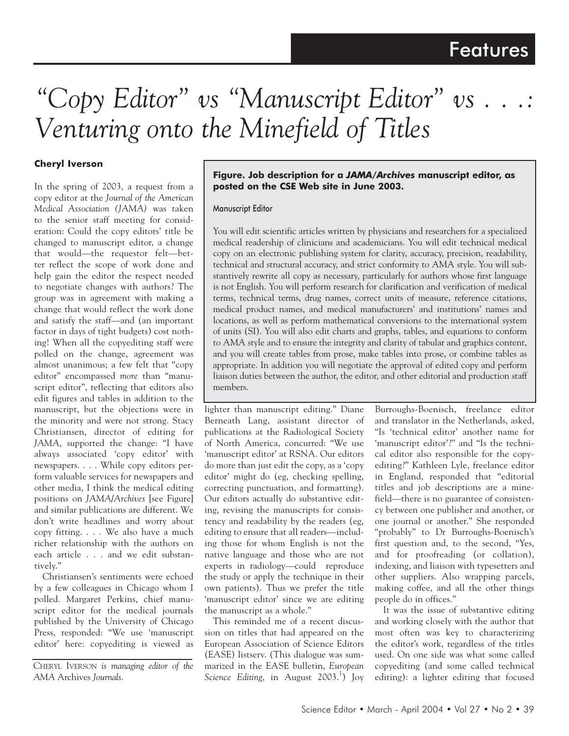# *"Copy Editor" vs "Manuscript Editor" vs . . .: Venturing onto the Minefield of Titles*

### **Cheryl Iverson**

In the spring of 2003, a request from a copy editor at the *Journal of the American Medical Association (JAMA)* was taken to the senior staff meeting for consideration: Could the copy editors' title be changed to manuscript editor, a change that would—the requestor felt—better reflect the scope of work done and help gain the editor the respect needed to negotiate changes with authors? The group was in agreement with making a change that would reflect the work done and satisfy the staff—and (an important factor in days of tight budgets) cost nothing! When all the copyediting staff were polled on the change, agreement was almost unanimous; a few felt that "copy editor" encompassed *more* than "manuscript editor", reflecting that editors also edit figures and tables in addition to the manuscript, but the objections were in the minority and were not strong. Stacy Christiansen, director of editing for *JAMA*, supported the change: "I have always associated 'copy editor' with newspapers. . . . While copy editors perform valuable services for newspapers and other media, I think the medical editing positions on *JAMA/Archives* [see Figure] and similar publications are different. We don't write headlines and worry about copy fitting. . . . We also have a much richer relationship with the authors on each article . . . and we edit substantively."

Christiansen's sentiments were echoed by a few colleagues in Chicago whom I polled. Margaret Perkins, chief manuscript editor for the medical journals published by the University of Chicago Press, responded: "We use 'manuscript editor' here: copyediting is viewed as

#### **Figure. Job description for a** *JAMA/Archives* **manuscript editor, as posted on the CSE Web site in June 2003.**

#### Manuscript Editor

You will edit scientific articles written by physicians and researchers for a specialized medical readership of clinicians and academicians. You will edit technical medical copy on an electronic publishing system for clarity, accuracy, precision, readability, technical and structural accuracy, and strict conformity to AMA style. You will substantively rewrite all copy as necessary, particularly for authors whose first language is not English. You will perform research for clarification and verification of medical terms, technical terms, drug names, correct units of measure, reference citations, medical product names, and medical manufacturers' and institutions' names and locations, as well as perform mathematical conversions to the international system of units (SI). You will also edit charts and graphs, tables, and equations to conform to AMA style and to ensure the integrity and clarity of tabular and graphics content, and you will create tables from prose, make tables into prose, or combine tables as appropriate. In addition you will negotiate the approval of edited copy and perform liaison duties between the author, the editor, and other editorial and production staff members.

lighter than manuscript editing." Diane Berneath Lang, assistant director of publications at the Radiological Society of North America, concurred: "We use 'manuscript editor' at RSNA. Our editors do more than just edit the copy, as a 'copy editor' might do (eg, checking spelling, correcting punctuation, and formatting). Our editors actually do substantive editing, revising the manuscripts for consistency and readability by the readers (eg, editing to ensure that all readers—including those for whom English is not the native language and those who are not experts in radiology—could reproduce the study or apply the technique in their own patients). Thus we prefer the title 'manuscript editor' since we are editing the manuscript as a whole."

This reminded me of a recent discussion on titles that had appeared on the European Association of Science Editors (EASE) listserv. (This dialogue was summarized in the EASE bulletin, *European*  Science Editing, in August 2003.<sup>1</sup>) Joy

Burroughs-Boenisch, freelance editor and translator in the Netherlands, asked, "Is 'technical editor' another name for 'manuscript editor'?" and "Is the technical editor also responsible for the copyediting?" Kathleen Lyle, freelance editor in England, responded that "editorial titles and job descriptions are a minefield—there is no guarantee of consistency between one publisher and another, or one journal or another." She responded "probably" to Dr Burroughs-Boenisch's first question and, to the second, "Yes, and for proofreading (or collation), indexing, and liaison with typesetters and other suppliers. Also wrapping parcels, making coffee, and all the other things people do in offices."

It was the issue of substantive editing and working closely with the author that most often was key to characterizing the editor's work, regardless of the titles used. On one side was what some called copyediting (and some called technical editing): a lighter editing that focused

CHERYL IVERSON *is managing editor of the AMA* Archives *Journals*.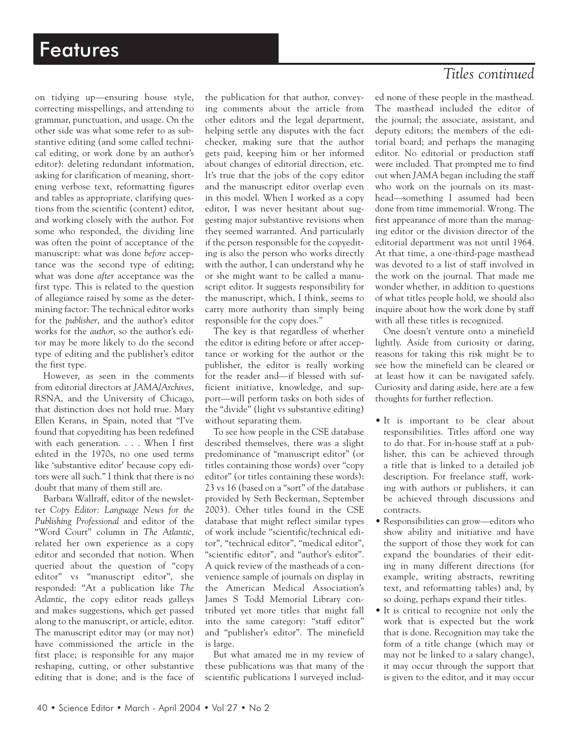on tidying up—ensuring house style, correcting misspellings, and attending to grammar, punctuation, and usage. On the other side was what some refer to as substantive editing (and some called technical editing, or work done by an author's editor): deleting redundant information, asking for clarification of meaning, shortening verbose text, reformatting figures and tables as appropriate, clarifying questions from the scientific (content) editor, and working closely with the author. For some who responded, the dividing line was often the point of acceptance of the manuscript: what was done *before* acceptance was the second type of editing; what was done *after* acceptance was the first type. This is related to the question of allegiance raised by some as the determining factor: The technical editor works for the *publisher*, and the author's editor works for the *author*, so the author's editor may be more likely to do the second type of editing and the publisher's editor the first type.

However, as seen in the comments from editorial directors at *JAMA/Archives*, RSNA, and the University of Chicago, that distinction does not hold true. Mary Ellen Kerans, in Spain, noted that "I've found that copyediting has been redefined with each generation. . . . When I first edited in the 1970s, no one used terms like 'substantive editor' because copy editors were all such." I think that there is no doubt that many of them still are.

Barbara Wallraff, editor of the newsletter *Copy Editor: Language News for the Publishing Professional* and editor of the "Word Court" column in *The Atlantic*, related her own experience as a copy editor and seconded that notion. When queried about the question of "copy editor" vs "manuscript editor", she responded: "At a publication like *The Atlantic*, the copy editor reads galleys and makes suggestions, which get passed along to the manuscript, or article, editor. The manuscript editor may (or may not) have commissioned the article in the first place; is responsible for any major reshaping, cutting, or other substantive editing that is done; and is the face of the publication for that author, conveying comments about the article from other editors and the legal department, helping settle any disputes with the fact checker, making sure that the author gets paid, keeping him or her informed about changes of editorial direction, etc. It's true that the jobs of the copy editor and the manuscript editor overlap even in this model. When I worked as a copy editor, I was never hesitant about suggesting major substantive revisions when they seemed warranted. And particularly if the person responsible for the copyediting is also the person who works directly with the author, I can understand why he or she might want to be called a manuscript editor. It suggests responsibility for the manuscript, which, I think, seems to carry more authority than simply being responsible for the copy does."

The key is that regardless of whether the editor is editing before or after acceptance or working for the author or the publisher, the editor is really working for the reader and—if blessed with sufficient initiative, knowledge, and support—will perform tasks on both sides of the "divide" (light vs substantive editing) without separating them.

To see how people in the CSE database described themselves, there was a slight predominance of "manuscript editor" (or titles containing those words) over "copy editor" (or titles containing these words): 23 vs 16 (based on a "sort" of the database provided by Seth Beckerman, September 2003). Other titles found in the CSE database that might reflect similar types of work include "scientific/technical editor", "technical editor", "medical editor", "scientific editor", and "author's editor". A quick review of the mastheads of a convenience sample of journals on display in the American Medical Association's James S Todd Memorial Library contributed yet more titles that might fall into the same category: "staff editor" and "publisher's editor". The minefield is large.

But what amazed me in my review of these publications was that many of the scientific publications I surveyed includ-

## *Titles continued*

ed none of these people in the masthead. The masthead included the editor of the journal; the associate, assistant, and deputy editors; the members of the editorial board; and perhaps the managing editor. No editorial or production staff were included. That prompted me to find out when *JAMA* began including the staff who work on the journals on its masthead—something I assumed had been done from time immemorial. Wrong. The first appearance of more than the managing editor or the division director of the editorial department was not until 1964. At that time, a one-third-page masthead was devoted to a list of staff involved in the work on the journal. That made me wonder whether, in addition to questions of what titles people hold, we should also inquire about how the work done by staff with all these titles is recognized.

One doesn't venture onto a minefield lightly. Aside from curiosity or daring, reasons for taking this risk might be to see how the minefield can be cleared or at least how it can be navigated safely. Curiosity and daring aside, here are a few thoughts for further reflection.

- It is important to be clear about responsibilities. Titles afford one way to do that. For in-house staff at a publisher, this can be achieved through a title that is linked to a detailed job description. For freelance staff, working with authors or publishers, it can be achieved through discussions and contracts.
- Responsibilities can grow—editors who show ability and initiative and have the support of those they work for can expand the boundaries of their editing in many different directions (for example, writing abstracts, rewriting text, and reformatting tables) and, by so doing, perhaps expand their titles.
- It is critical to recognize not only the work that is expected but the work that is done. Recognition may take the form of a title change (which may or may not be linked to a salary change), it may occur through the support that is given to the editor, and it may occur